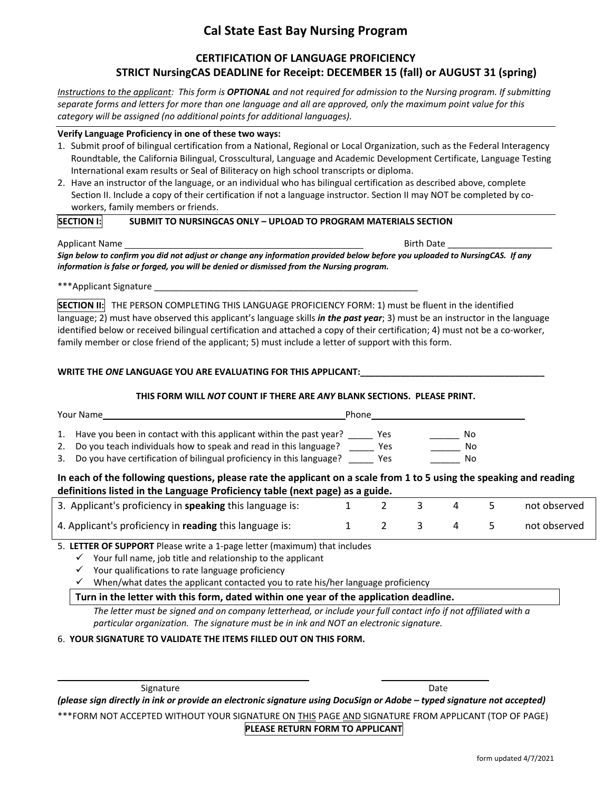## **Cal State East Bay Nursing Program**

### **CERTIFICATION OF LANGUAGE PROFICIENCY STRICT NursingCAS DEADLINE for Receipt: DECEMBER 15 (fall) or AUGUST 31 (spring)**

*Instructions to the applicant: This form is OPTIONAL and not required for admission to the Nursing program. If submitting separate forms and letters for more than one language and all are approved, only the maximum point value for this category will be assigned (no additional points for additional languages).*

#### **Verify Language Proficiency in one of these two ways:**

- 1. Submit proof of bilingual certification from a National, Regional or Local Organization, such as the Federal Interagency Roundtable, the California Bilingual, Crosscultural, Language and Academic Development Certificate, Language Testing International exam results or Seal of Biliteracy on high school transcripts or diploma.
- 2. Have an instructor of the language, or an individual who has bilingual certification as described above, complete Section II. Include a copy of their certification if not a language instructor. Section II may NOT be completed by coworkers, family members or friends.

#### **SECTION I: SUBMIT TO NURSINGCAS ONLY – UPLOAD TO PROGRAM MATERIALS SECTION**

Applicant Name Birth Date  $\sim$ 

*Sign below to confirm you did not adjust or change any information provided below before you uploaded to NursingCAS. If any information is false or forged, you will be denied or dismissed from the Nursing program.*

\*\*\*Applicant Signature

**SECTION II:** THE PERSON COMPLETING THIS LANGUAGE PROFICIENCY FORM: 1) must be fluent in the identified language; 2) must have observed this applicant's language skills *in the past year*; 3) must be an instructor in the language identified below or received bilingual certification and attached a copy of their certification; 4) must not be a co-worker, family member or close friend of the applicant; 5) must include a letter of support with this form.

#### WRITE THE ONE LANGUAGE YOU ARE EVALUATING FOR THIS APPLICANT:

#### **THIS FORM WILL** *NOT* **COUNT IF THERE ARE** *ANY* **BLANK SECTIONS. PLEASE PRINT.**

| Your Name |                                                                         | Phone |     |  |  |
|-----------|-------------------------------------------------------------------------|-------|-----|--|--|
|           | 1. Have you been in contact with this applicant within the past year?   | Yes   | No. |  |  |
|           | 2. Do you teach individuals how to speak and read in this language?     | Yes   | No  |  |  |
|           | 3. Do you have certification of bilingual proficiency in this language? | Yes   | No  |  |  |

#### **In each of the following questions, please rate the applicant on a scale from 1 to 5 using the speaking and reading definitions listed in the Language Proficiency table (next page) as a guide.**

| 3. Applicant's proficiency in <b>speaking</b> this language is: |  | 2 3 4 |     | not observed |
|-----------------------------------------------------------------|--|-------|-----|--------------|
| 4. Applicant's proficiency in reading this language is:         |  |       | 4 5 | not observed |

5. **LETTER OF SUPPORT** Please write a 1-page letter (maximum) that includes

 $\checkmark$  Your full name, job title and relationship to the applicant

 $\checkmark$  Your qualifications to rate language proficiency

 $\checkmark$  When/what dates the applicant contacted you to rate his/her language proficiency

#### **Turn in the letter with this form, dated within one year of the application deadline.**

The letter must be signed and on company letterhead, or include your full contact info if not affiliated with a *particular organization. The signature must be in ink and NOT an electronic signature.*

#### 6. **YOUR SIGNATURE TO VALIDATE THE ITEMS FILLED OUT ON THIS FORM.**

Signature **Date** Date of the Date of the Date of the Date of the Date of the Date of the Date of the Date of the Date of the Date of the Date of the Date of the Date of the Date of the Date of the Date of the Date of the D

*(please sign directly in ink or provide an electronic signature using DocuSign or Adobe – typed signature not accepted)* \*\*\*FORM NOT ACCEPTED WITHOUT YOUR SIGNATURE ON THIS PAGE AND SIGNATURE FROM APPLICANT (TOP OF PAGE) **PLEASE RETURN FORM TO APPLICANT**